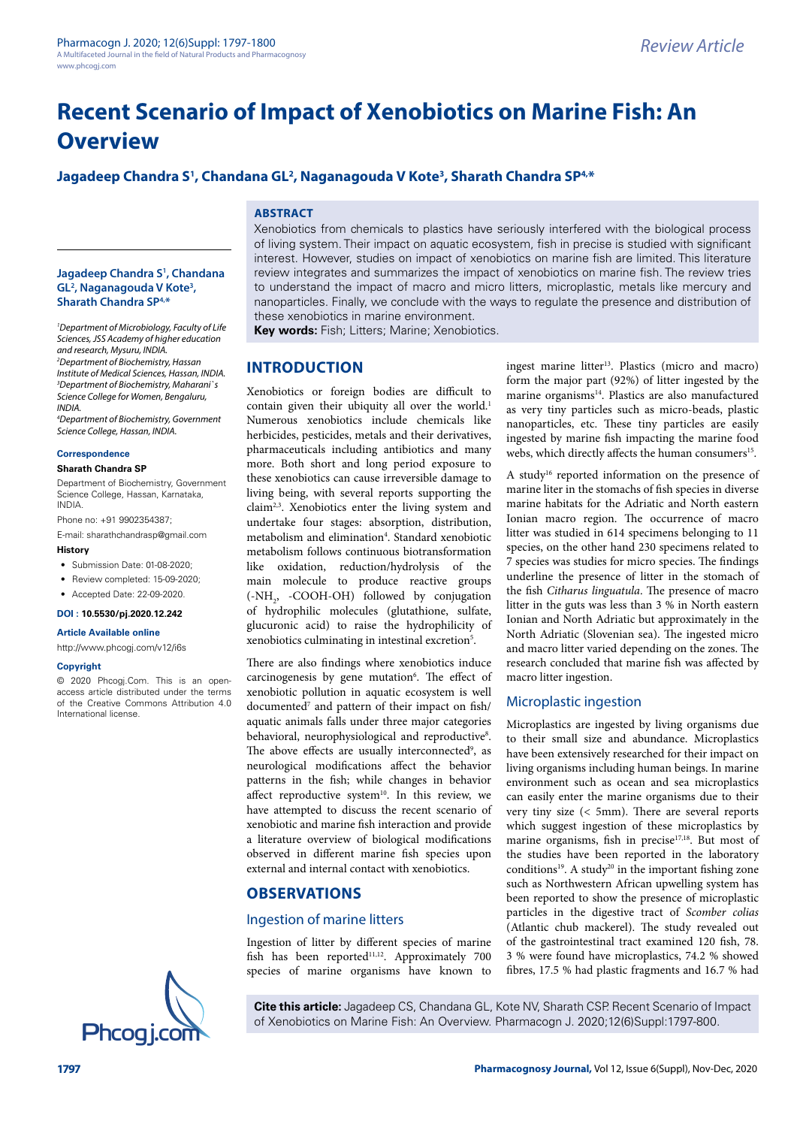# **Recent Scenario of Impact of Xenobiotics on Marine Fish: An Overview**

# Jagadeep Chandra S<sup>1</sup>, Chandana GL<sup>2</sup>, Naganagouda V Kote<sup>3</sup>, Sharath Chandra SP<sup>4,</sup>\*

## **ABSTRACT**

#### **Jagadeep Chandra S1 , Chandana GL2 , Naganagouda V Kote3 , Sharath Chandra SP4,\***

*1 Department of Microbiology, Faculty of Life Sciences, JSS Academy of higher education and research, Mysuru, INDIA. 2 Department of Biochemistry, Hassan Institute of Medical Sciences, Hassan, INDIA. 3 Department of Biochemistry, Maharani`s Science College for Women, Bengaluru, INDIA.*

*4 Department of Biochemistry, Government Science College, Hassan, INDIA.*

#### **Correspondence**

#### **Sharath Chandra SP**

Department of Biochemistry, Government Science College, Hassan, Karnataka, INDIA.

Phone no: +91 9902354387;

E-mail: [sharathchandrasp@gmail.com](mailto:sharathchandrasp@gmail.com)

## **History**

- Submission Date: 01-08-2020:
- Review completed: 15-09-2020;
- Accepted Date: 22-09-2020.

## **DOI : 10.5530/pj.2020.12.242**

**Article Available online** 

#### http://www.phcogi.com/v12/i6s

#### **Copyright**

© 2020 Phcogj.Com. This is an openaccess article distributed under the terms of the Creative Commons Attribution 4.0 International license.

Xenobiotics from chemicals to plastics have seriously interfered with the biological process of living system. Their impact on aquatic ecosystem, fish in precise is studied with significant interest. However, studies on impact of xenobiotics on marine fish are limited. This literature review integrates and summarizes the impact of xenobiotics on marine fish. The review tries to understand the impact of macro and micro litters, microplastic, metals like mercury and nanoparticles. Finally, we conclude with the ways to regulate the presence and distribution of these xenobiotics in marine environment.

**Key words:** Fish; Litters; Marine; Xenobiotics.

## **INTRODUCTION**

Xenobiotics or foreign bodies are difficult to contain given their ubiquity all over the world.<sup>1</sup> Numerous xenobiotics include chemicals like herbicides, pesticides, metals and their derivatives, pharmaceuticals including antibiotics and many more. Both short and long period exposure to these xenobiotics can cause irreversible damage to living being, with several reports supporting the claim2,3. Xenobiotics enter the living system and undertake four stages: absorption, distribution, metabolism and elimination<sup>4</sup>. Standard xenobiotic metabolism follows continuous biotransformation like oxidation, reduction/hydrolysis of the main molecule to produce reactive groups  $(-NH<sub>2</sub>, -COOH-OH)$  followed by conjugation of hydrophilic molecules (glutathione, sulfate, glucuronic acid) to raise the hydrophilicity of xenobiotics culminating in intestinal excretion<sup>5</sup>.

There are also findings where xenobiotics induce carcinogenesis by gene mutation<sup>6</sup>. The effect of xenobiotic pollution in aquatic ecosystem is well documented<sup>7</sup> and pattern of their impact on fish/ aquatic animals falls under three major categories behavioral, neurophysiological and reproductive<sup>8</sup>. The above effects are usually interconnected<sup>9</sup>, as neurological modifications affect the behavior patterns in the fish; while changes in behavior affect reproductive system<sup>10</sup>. In this review, we have attempted to discuss the recent scenario of xenobiotic and marine fish interaction and provide a literature overview of biological modifications observed in different marine fish species upon external and internal contact with xenobiotics.

# **OBSERVATIONS**

### Ingestion of marine litters

Ingestion of litter by different species of marine fish has been reported<sup>11,12</sup>. Approximately 700 species of marine organisms have known to

ingest marine litter<sup>13</sup>. Plastics (micro and macro) form the major part (92%) of litter ingested by the marine organisms<sup>14</sup>. Plastics are also manufactured as very tiny particles such as micro-beads, plastic nanoparticles, etc. These tiny particles are easily ingested by marine fish impacting the marine food webs, which directly affects the human consumers<sup>15</sup>.

A study<sup>16</sup> reported information on the presence of marine liter in the stomachs of fish species in diverse marine habitats for the Adriatic and North eastern Ionian macro region. The occurrence of macro litter was studied in 614 specimens belonging to 11 species, on the other hand 230 specimens related to 7 species was studies for micro species. The findings underline the presence of litter in the stomach of the fish *Citharus linguatula*. The presence of macro litter in the guts was less than 3 % in North eastern Ionian and North Adriatic but approximately in the North Adriatic (Slovenian sea). The ingested micro and macro litter varied depending on the zones. The research concluded that marine fish was affected by macro litter ingestion.

### Microplastic ingestion

Microplastics are ingested by living organisms due to their small size and abundance. Microplastics have been extensively researched for their impact on living organisms including human beings. In marine environment such as ocean and sea microplastics can easily enter the marine organisms due to their very tiny size (< 5mm). There are several reports which suggest ingestion of these microplastics by marine organisms, fish in precise<sup>17,18</sup>. But most of the studies have been reported in the laboratory conditions<sup>19</sup>. A study<sup>20</sup> in the important fishing zone such as Northwestern African upwelling system has been reported to show the presence of microplastic particles in the digestive tract of *Scomber colias*  (Atlantic chub mackerel). The study revealed out of the gastrointestinal tract examined 120 fish, 78. 3 % were found have microplastics, 74.2 % showed fibres, 17.5 % had plastic fragments and 16.7 % had



**Cite this article:** Jagadeep CS, Chandana GL, Kote NV, Sharath CSP. Recent Scenario of Impact of Xenobiotics on Marine Fish: An Overview. Pharmacogn J. 2020;12(6)Suppl:1797-800.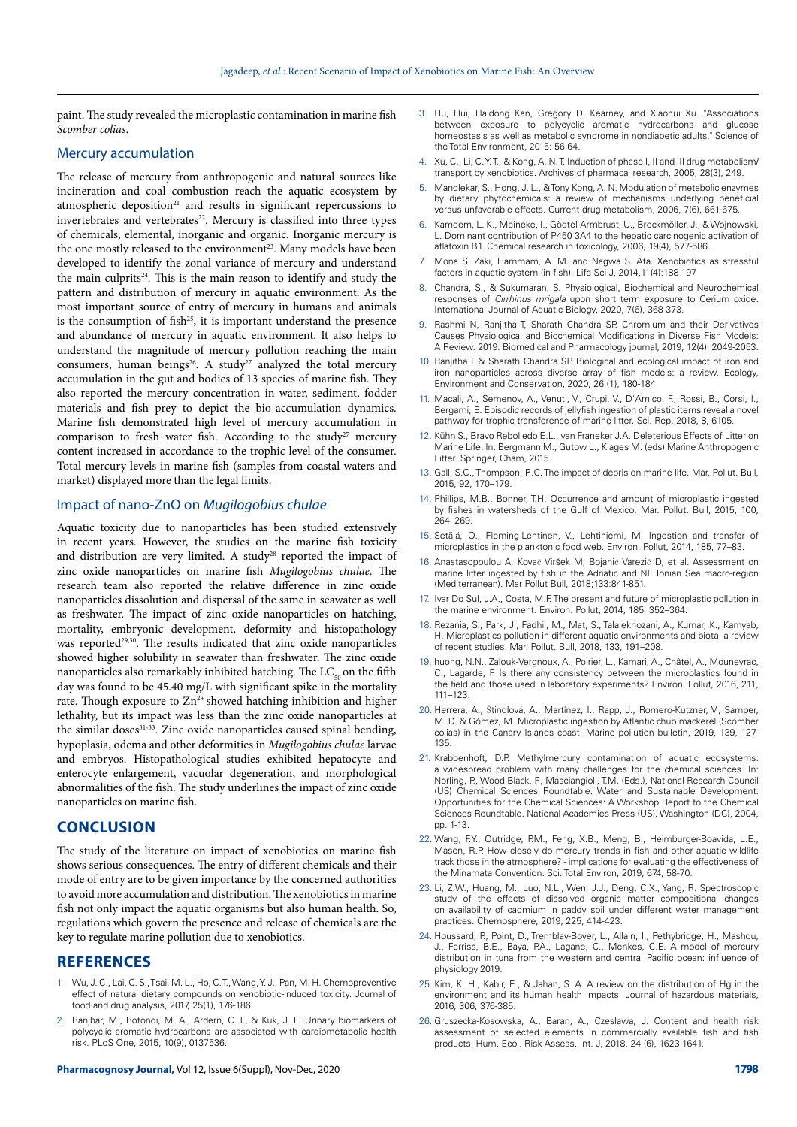paint. The study revealed the microplastic contamination in marine fish *Scomber colias*.

#### Mercury accumulation

The release of mercury from anthropogenic and natural sources like incineration and coal combustion reach the aquatic ecosystem by atmospheric deposition<sup>21</sup> and results in significant repercussions to invertebrates and vertebrates<sup>22</sup>. Mercury is classified into three types of chemicals, elemental, inorganic and organic. Inorganic mercury is the one mostly released to the environment<sup>23</sup>. Many models have been developed to identify the zonal variance of mercury and understand the main culprits $24$ . This is the main reason to identify and study the pattern and distribution of mercury in aquatic environment. As the most important source of entry of mercury in humans and animals is the consumption of fish $25$ , it is important understand the presence and abundance of mercury in aquatic environment. It also helps to understand the magnitude of mercury pollution reaching the main consumers, human beings<sup>26</sup>. A study<sup>27</sup> analyzed the total mercury accumulation in the gut and bodies of 13 species of marine fish. They also reported the mercury concentration in water, sediment, fodder materials and fish prey to depict the bio-accumulation dynamics. Marine fish demonstrated high level of mercury accumulation in comparison to fresh water fish. According to the study<sup>27</sup> mercury content increased in accordance to the trophic level of the consumer. Total mercury levels in marine fish (samples from coastal waters and market) displayed more than the legal limits.

## Impact of nano-ZnO on *Mugilogobius chulae*

Aquatic toxicity due to nanoparticles has been studied extensively in recent years. However, the studies on the marine fish toxicity and distribution are very limited. A study<sup>28</sup> reported the impact of zinc oxide nanoparticles on marine fish *Mugilogobius chulae*. The research team also reported the relative difference in zinc oxide nanoparticles dissolution and dispersal of the same in seawater as well as freshwater. The impact of zinc oxide nanoparticles on hatching, mortality, embryonic development, deformity and histopathology was reported<sup>29,30</sup>. The results indicated that zinc oxide nanoparticles showed higher solubility in seawater than freshwater. The zinc oxide nanoparticles also remarkably inhibited hatching. The  $LC<sub>60</sub>$  on the fifth day was found to be 45.40 mg/L with significant spike in the mortality rate. Though exposure to  $Zn^{2+}$  showed hatching inhibition and higher lethality, but its impact was less than the zinc oxide nanoparticles at the similar doses<sup>31-33</sup>. Zinc oxide nanoparticles caused spinal bending, hypoplasia, odema and other deformities in *Mugilogobius chulae* larvae and embryos. Histopathological studies exhibited hepatocyte and enterocyte enlargement, vacuolar degeneration, and morphological abnormalities of the fish. The study underlines the impact of zinc oxide nanoparticles on marine fish.

## **CONCLUSION**

The study of the literature on impact of xenobiotics on marine fish shows serious consequences. The entry of different chemicals and their mode of entry are to be given importance by the concerned authorities to avoid more accumulation and distribution. The xenobiotics in marine fish not only impact the aquatic organisms but also human health. So, regulations which govern the presence and release of chemicals are the key to regulate marine pollution due to xenobiotics.

#### **REFERENCES**

- 1. Wu, J. C., Lai, C. S., Tsai, M. L., Ho, C. T., Wang, Y. J., Pan, M. H. Chemopreventive effect of natural dietary compounds on xenobiotic-induced toxicity. Journal of food and drug analysis, 2017, 25(1), 176-186.
- 2. Ranjbar, M., Rotondi, M. A., Ardern, C. I., & Kuk, J. L. Urinary biomarkers of polycyclic aromatic hydrocarbons are associated with cardiometabolic health risk. PLoS One, 2015, 10(9), 0137536.
- 3. Hu, Hui, Haidong Kan, Gregory D. Kearney, and Xiaohui Xu. "Associations between exposure to polycyclic aromatic hydrocarbons and glucose homeostasis as well as metabolic syndrome in nondiabetic adults." Science of the Total Environment, 2015: 56-64.
- Xu, C., Li, C. Y. T., & Kong, A. N. T. Induction of phase I, II and III drug metabolism/ transport by xenobiotics. Archives of pharmacal research, 2005, 28(3), 249.
- Mandlekar, S., Hong, J. L., & Tony Kong, A. N. Modulation of metabolic enzymes by dietary phytochemicals: a review of mechanisms underlying beneficial versus unfavorable effects. Current drug metabolism, 2006, 7(6), 661-675.
- 6. Kamdem, L. K., Meineke, I., Gödtel-Armbrust, U., Brockmöller, J., & Wojnowski, L. Dominant contribution of P450 3A4 to the hepatic carcinogenic activation of aflatoxin B1. Chemical research in toxicology, 2006, 19(4), 577-586.
- Mona S. Zaki, Hammam, A. M. and Nagwa S. Ata. Xenobiotics as stressful factors in aquatic system (in fish). Life Sci J, 2014,11(4):188-197
- 8. Chandra, S., & Sukumaran, S. Physiological, Biochemical and Neurochemical responses of *Cirrhinus mrigala* upon short term exposure to Cerium oxide. International Journal of Aquatic Biology, 2020, 7(6), 368-373.
- 9. Rashmi N, Ranjitha T, Sharath Chandra SP. Chromium and their Derivatives Causes Physiological and Biochemical Modifications in Diverse Fish Models: A Review. 2019. Biomedical and Pharmacology journal, 2019, 12(4): 2049-2053.
- 10. Ranjitha T & Sharath Chandra SP. [Biological and ecological impact of iron and](file:///F:/Journals/PJ/PJ_11/PJ_11-6/PJ_11_6-AI/javascript:void(0))  [iron nanoparticles across diverse array of fish models: a review](file:///F:/Journals/PJ/PJ_11/PJ_11-6/PJ_11_6-AI/javascript:void(0)). Ecology, Environment and Conservation, 2020, 26 (1), 180-184
- 11. Macali, A., Semenov, A., Venuti, V., Crupi, V., D'Amico, F., Rossi, B., Corsi, I., Bergami, E. Episodic records of jellyfish ingestion of plastic items reveal a novel pathway for trophic transference of marine litter. Sci. Rep, 2018, 8, 6105.
- 12. Kühn S., Bravo Rebolledo E.L., van Franeker J.A. Deleterious Effects of Litter on Marine Life. In: Bergmann M., Gutow L., Klages M. (eds) Marine Anthropogenic Litter. Springer, Cham, 2015.
- 13. Gall, S.C., Thompson, R.C. The impact of debris on marine life. Mar. Pollut. Bull, 2015, 92, 170–179.
- 14. Phillips, M.B., Bonner, T.H. Occurrence and amount of microplastic ingested by fishes in watersheds of the Gulf of Mexico. Mar. Pollut. Bull, 2015, 100, 264–269.
- 15. Setälä, O., Fleming-Lehtinen, V., Lehtiniemi, M. Ingestion and transfer of microplastics in the planktonic food web. Environ. Pollut, 2014, 185, 77–83.
- 16. Anastasopoulou A, Kovač Viršek M, Bojanić Varezić D, et al. Assessment on marine litter ingested by fish in the Adriatic and NE Ionian Sea macro-region (Mediterranean). Mar Pollut Bull, 2018;133:841-851.
- 17. Ivar Do Sul, J.A., Costa, M.F. The present and future of microplastic pollution in the marine environment. Environ. Pollut, 2014, 185, 352–364.
- 18. Rezania, S., Park, J., Fadhil, M., Mat, S., Talaiekhozani, A., Kumar, K., Kamyab, H. Microplastics pollution in different aquatic environments and biota: a review of recent studies. Mar. Pollut. Bull, 2018, 133, 191–208.
- 19. huong, N.N., Zalouk-Vergnoux, A., Poirier, L., Kamari, A., Châtel, A., Mouneyrac, C., Lagarde, F. Is there any consistency between the microplastics found in the field and those used in laboratory experiments? Environ. Pollut, 2016, 211, 111–123.
- 20. Herrera, A., Ŝtindlová, A., Martínez, I., Rapp, J., Romero-Kutzner, V., Samper, M. D. & Gómez, M. Microplastic ingestion by Atlantic chub mackerel (Scomber colias) in the Canary Islands coast. Marine pollution bulletin, 2019, 139, 127- 135.
- 21. Krabbenhoft, D.P. Methylmercury contamination of aquatic ecosystems: a widespread problem with many challenges for the chemical sciences. In: Norling, P., Wood-Black, F., Masciangioli, T.M. (Eds.), National Research Council (US) Chemical Sciences Roundtable. Water and Sustainable Development: Opportunities for the Chemical Sciences: A Workshop Report to the Chemical Sciences Roundtable. National Academies Press (US), Washington (DC), 2004, pp. 1-13.
- 22. Wang, F.Y., Outridge, P.M., Feng, X.B., Meng, B., Heimburger-Boavida, L.E., Mason, R.P. How closely do mercury trends in fish and other aquatic wildlife track those in the atmosphere? - implications for evaluating the effectiveness of the Minamata Convention. Sci. Total Environ, 2019, 674, 58-70.
- 23. Li, Z.W., Huang, M., Luo, N.L., Wen, J.J., Deng, C.X., Yang, R. Spectroscopic study of the effects of dissolved organic matter compositional changes on availability of cadmium in paddy soil under different water management practices. Chemosphere, 2019, 225, 414-423.
- 24. Houssard, P., Point, D., Tremblay-Boyer, L., Allain, I., Pethybridge, H., Mashou, J., Ferriss, B.E., Baya, P.A., Lagane, C., Menkes, C.E. A model of mercury distribution in tuna from the western and central Pacific ocean: influence of physiology.2019.
- 25. Kim, K. H., Kabir, E., & Jahan, S. A. A review on the distribution of Hg in the environment and its human health impacts. Journal of hazardous materials, 2016, 306, 376-385.
- 26. Gruszecka-Kosowska, A., Baran, A., Czesława, J. Content and health risk assessment of selected elements in commercially available fish and fish products. Hum. Ecol. Risk Assess. Int. J, 2018, 24 (6), 1623-1641.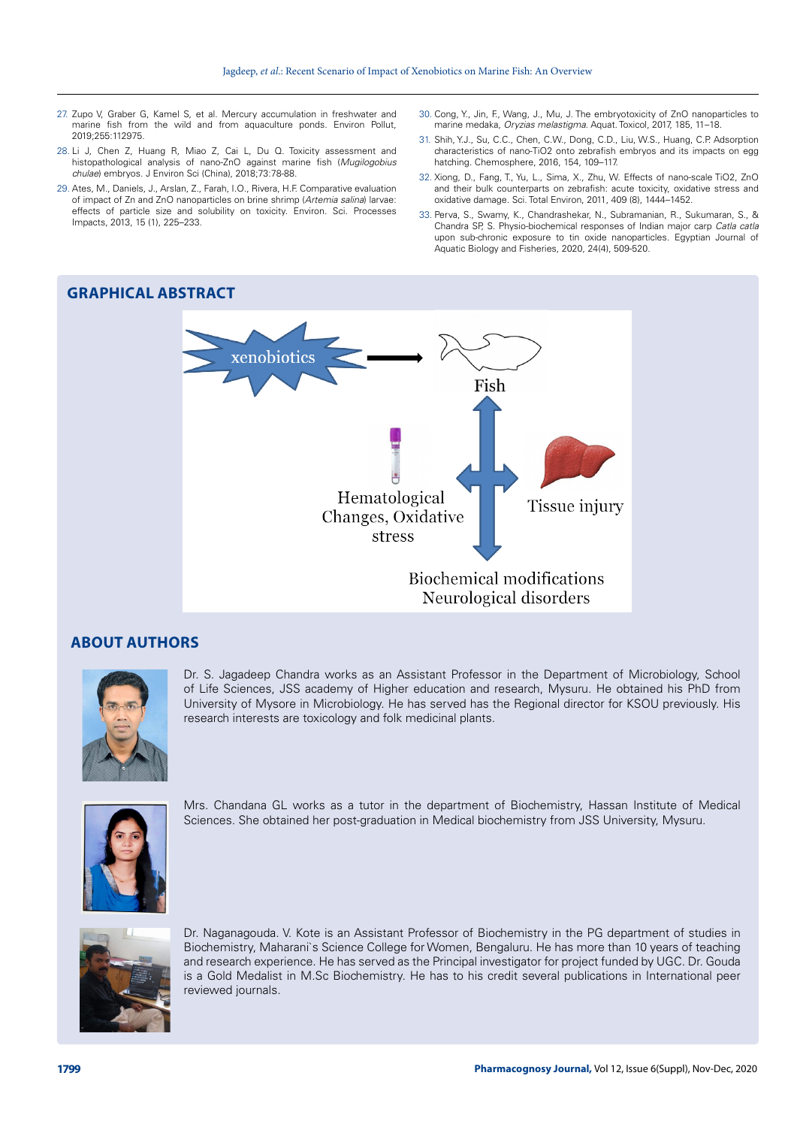- 27. Zupo V, Graber G, Kamel S, et al. Mercury accumulation in freshwater and marine fish from the wild and from aquaculture ponds. Environ Pollut, 2019;255:112975.
- 28. Li J, Chen Z, Huang R, Miao Z, Cai L, Du Q. Toxicity assessment and histopathological analysis of nano-ZnO against marine fish (*Mugilogobius chulae*) embryos. J Environ Sci (China), 2018;73:78-88.
- 29. Ates, M., Daniels, J., Arslan, Z., Farah, I.O., Rivera, H.F. Comparative evaluation of impact of Zn and ZnO nanoparticles on brine shrimp (*Artemia salina*) larvae: effects of particle size and solubility on toxicity. Environ. Sci. Processes Impacts, 2013, 15 (1), 225–233.
- 30. Cong, Y., Jin, F., Wang, J., Mu, J. The embryotoxicity of ZnO nanoparticles to marine medaka, *Oryzias melastigma*. Aquat. Toxicol, 2017, 185, 11–18.
- 31. Shih, Y.J., Su, C.C., Chen, C.W., Dong, C.D., Liu, W.S., Huang, C.P. Adsorption characteristics of nano-TiO2 onto zebrafish embryos and its impacts on egg hatching. Chemosphere, 2016, 154, 109–117.
- 32. Xiong, D., Fang, T., Yu, L., Sima, X., Zhu, W. Effects of nano-scale TiO2, ZnO and their bulk counterparts on zebrafish: acute toxicity, oxidative stress and oxidative damage. Sci. Total Environ, 2011, 409 (8), 1444–1452.
- 33. Perva, S., Swamy, K., Chandrashekar, N., Subramanian, R., Sukumaran, S., & Chandra SP, S. Physio-biochemical responses of Indian major carp *Catla catla* upon sub-chronic exposure to tin oxide nanoparticles. Egyptian Journal of Aquatic Biology and Fisheries, 2020, 24(4), 509-520.

# **GRAPHICAL ABSTRACT**



## **ABOUT AUTHORS**



Dr. S. Jagadeep Chandra works as an Assistant Professor in the Department of Microbiology, School of Life Sciences, JSS academy of Higher education and research, Mysuru. He obtained his PhD from University of Mysore in Microbiology. He has served has the Regional director for KSOU previously. His research interests are toxicology and folk medicinal plants.



Mrs. Chandana GL works as a tutor in the department of Biochemistry, Hassan Institute of Medical Sciences. She obtained her post-graduation in Medical biochemistry from JSS University, Mysuru.



Dr. Naganagouda. V. Kote is an Assistant Professor of Biochemistry in the PG department of studies in Biochemistry, Maharani`s Science College for Women, Bengaluru. He has more than 10 years of teaching and research experience. He has served as the Principal investigator for project funded by UGC. Dr. Gouda is a Gold Medalist in M.Sc Biochemistry. He has to his credit several publications in International peer reviewed journals.